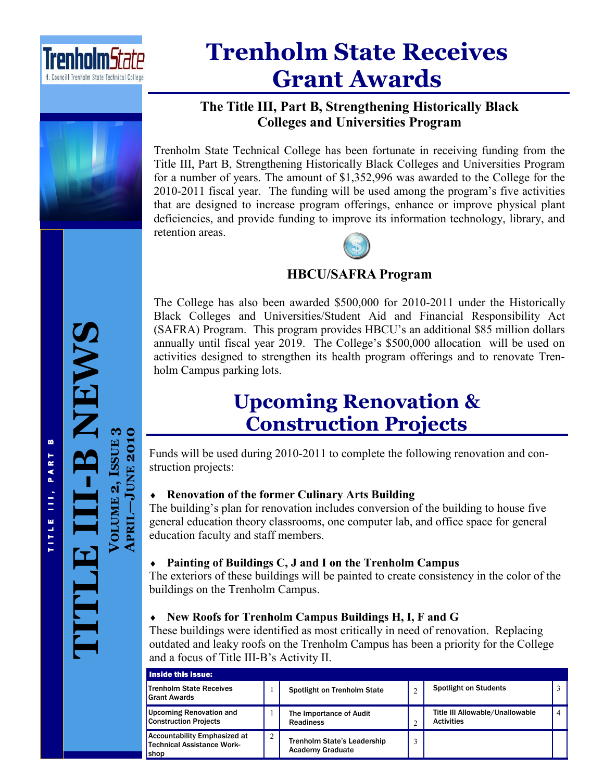

# **Trenholm State Receives Grant Awards**



## **The Title III, Part B, Strengthening Historically Black Colleges and Universities Program**

Trenholm State Technical College has been fortunate in receiving funding from the Title III, Part B, Strengthening Historically Black Colleges and Universities Program for a number of years. The amount of \$1,352,996 was awarded to the College for the 2010-2011 fiscal year. The funding will be used among the program's five activities that are designed to increase program offerings, enhance or improve physical plant deficiencies, and provide funding to improve its information technology, library, and retention areas.



## **HBCU/SAFRA Program**

The College has also been awarded \$500,000 for 2010-2011 under the Historically Black Colleges and Universities/Student Aid and Financial Responsibility Act (SAFRA) Program. This program provides HBCU's an additional \$85 million dollars annually until fiscal year 2019. The College's \$500,000 allocation will be used on activities designed to strengthen its health program offerings and to renovate Trenholm Campus parking lots.

## **Upcoming Renovation & Construction Projects**

Funds will be used during 2010-2011 to complete the following renovation and construction projects:

## **Renovation of the former Culinary Arts Building**

The building's plan for renovation includes conversion of the building to house five general education theory classrooms, one computer lab, and office space for general education faculty and staff members.

## **Painting of Buildings C, J and I on the Trenholm Campus**

The exteriors of these buildings will be painted to create consistency in the color of the buildings on the Trenholm Campus.

## **New Roofs for Trenholm Campus Buildings H, I, F and G**

These buildings were identified as most critically in need of renovation. Replacing outdated and leaky roofs on the Trenholm Campus has been a priority for the College and a focus of Title III-B's Activity II.

| Inside this issue:                                                               |               |                                                               |   |                                                      |                |  |
|----------------------------------------------------------------------------------|---------------|---------------------------------------------------------------|---|------------------------------------------------------|----------------|--|
| Trenholm State Receives<br><b>Grant Awards</b>                                   |               | Spotlight on Trenholm State                                   | ◠ | <b>Spotlight on Students</b>                         |                |  |
| <b>Upcoming Renovation and</b><br><b>Construction Projects</b>                   |               | The Importance of Audit<br><b>Readiness</b>                   | ◠ | Title III Allowable/Unallowable<br><b>Activities</b> | $\overline{4}$ |  |
| <b>Accountability Emphasized at</b><br><b>Technical Assistance Work-</b><br>shop | $\mathcal{L}$ | <b>Trenholm State's Leadership</b><br><b>Academy Graduate</b> |   |                                                      |                |  |

T I T L E I I I , P A R T B TITLE III, PART B

**TITLE III**

**-B NEWS**

**VOLUME 2, ISSUE**

**3**

**JUNE 2010**

**APRIL**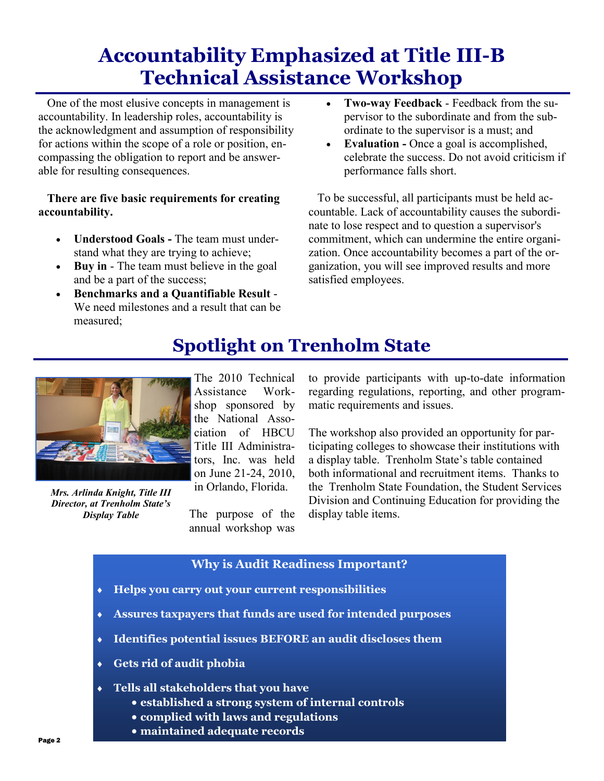## **Accountability Emphasized at Title III-B Technical Assistance Workshop**

 One of the most elusive concepts in management is accountability. In leadership roles, accountability is the acknowledgment and assumption of responsibility for actions within the scope of a role or position, encompassing the obligation to report and be answerable for resulting consequences.

### **There are five basic requirements for creating accountability.**

- **Understood Goals -** The team must understand what they are trying to achieve;
- **Buy in** The team must believe in the goal and be a part of the success;
- **Benchmarks and a Quantifiable Result** We need milestones and a result that can be measured;
- **Two-way Feedback** Feedback from the supervisor to the subordinate and from the subordinate to the supervisor is a must; and
- **Evaluation -** Once a goal is accomplished, celebrate the success. Do not avoid criticism if performance falls short.

 To be successful, all participants must be held accountable. Lack of accountability causes the subordinate to lose respect and to question a supervisor's commitment, which can undermine the entire organization. Once accountability becomes a part of the organization, you will see improved results and more satisfied employees.

*Mrs. Arlinda Knight, Title III Director, at Trenholm State's Display Table*

The 2010 Technical Assistance Workshop sponsored by the National Association of HBCU Title III Administrators, Inc. was held on June 21-24, 2010, in Orlando, Florida.

The purpose of the annual workshop was to provide participants with up-to-date information regarding regulations, reporting, and other programmatic requirements and issues.

The workshop also provided an opportunity for participating colleges to showcase their institutions with a display table. Trenholm State's table contained both informational and recruitment items. Thanks to the Trenholm State Foundation, the Student Services Division and Continuing Education for providing the display table items.

## **Why is Audit Readiness Important?**

**Spotlight on Trenholm State**

- **Helps you carry out your current responsibilities**
- **Assures taxpayers that funds are used for intended purposes**
- **Identifies potential issues BEFORE an audit discloses them**
- **Gets rid of audit phobia**
- **Tells all stakeholders that you have**
	- **established a strong system of internal controls**
	- **complied with laws and regulations**
	- **maintained adequate records**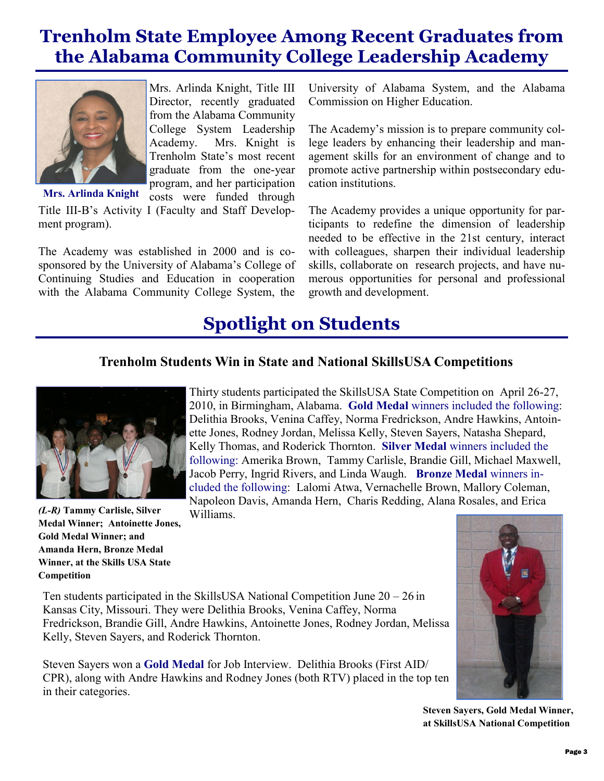## **Trenholm State Employee Among Recent Graduates from the Alabama Community College Leadership Academy**



Mrs. Arlinda Knight, Title III Director, recently graduated from the Alabama Community College System Leadership Academy. Mrs. Knight is Trenholm State's most recent graduate from the one-year program, and her participation costs were funded through

Title III-B's Activity I (Faculty and Staff Development program). **Mrs. Arlinda Knight**

The Academy was established in 2000 and is cosponsored by the University of Alabama's College of Continuing Studies and Education in cooperation with the Alabama Community College System, the

University of Alabama System, and the Alabama Commission on Higher Education.

The Academy's mission is to prepare community college leaders by enhancing their leadership and management skills for an environment of change and to promote active partnership within postsecondary education institutions.

The Academy provides a unique opportunity for participants to redefine the dimension of leadership needed to be effective in the 21st century, interact with colleagues, sharpen their individual leadership skills, collaborate on research projects, and have numerous opportunities for personal and professional growth and development.

## **Spotlight on Students**

## **Trenholm Students Win in State and National SkillsUSA Competitions**



*(L-R)* **Tammy Carlisle, Silver Medal Winner; Antoinette Jones, Gold Medal Winner; and Amanda Hern, Bronze Medal Winner, at the Skills USA State Competition**

Thirty students participated the SkillsUSA State Competition on April 26-27, 2010, in Birmingham, Alabama. **Gold Medal** winners included the following: Delithia Brooks, Venina Caffey, Norma Fredrickson, Andre Hawkins, Antoinette Jones, Rodney Jordan, Melissa Kelly, Steven Sayers, Natasha Shepard, Kelly Thomas, and Roderick Thornton. **Silver Medal** winners included the following: Amerika Brown, Tammy Carlisle, Brandie Gill, Michael Maxwell, Jacob Perry, Ingrid Rivers, and Linda Waugh. **Bronze Medal** winners included the following: Lalomi Atwa, Vernachelle Brown, Mallory Coleman, Napoleon Davis, Amanda Hern, Charis Redding, Alana Rosales, and Erica Williams.

Ten students participated in the SkillsUSA National Competition June 20 – 26 in Kansas City, Missouri. They were Delithia Brooks, Venina Caffey, Norma Fredrickson, Brandie Gill, Andre Hawkins, Antoinette Jones, Rodney Jordan, Melissa Kelly, Steven Sayers, and Roderick Thornton.

Steven Sayers won a **Gold Medal** for Job Interview. Delithia Brooks (First AID/ CPR), along with Andre Hawkins and Rodney Jones (both RTV) placed in the top ten in their categories.



**Steven Sayers, Gold Medal Winner, at SkillsUSA National Competition**